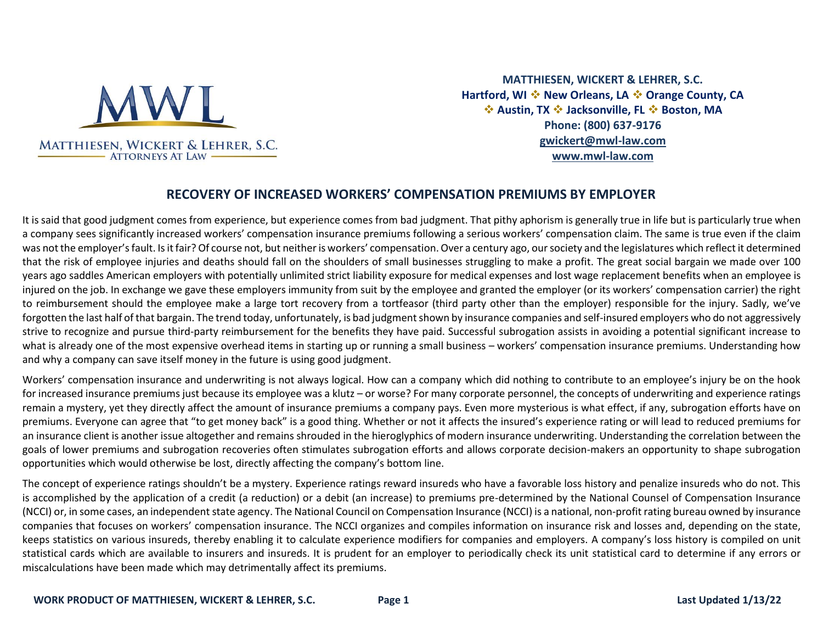

**MATTHIESEN, WICKERT & LEHRER, S.C. Hartford, WI** ❖ **New Orleans, LA** ❖ **Orange County, CA**  ❖ **Austin, TX** ❖ **Jacksonville, FL** ❖ **Boston, MA Phone: (800) 637-9176 [gwickert@mwl-law.com](mailto:gwickert@mwl-law.com) [www.mwl-law.com](http://www.mwl-law.com/)**

# **RECOVERY OF INCREASED WORKERS' COMPENSATION PREMIUMS BY EMPLOYER**

It is said that good judgment comes from experience, but experience comes from bad judgment. That pithy aphorism is generally true in life but is particularly true when a company sees significantly increased workers' compensation insurance premiums following a serious workers' compensation claim. The same is true even if the claim was not the employer's fault. Is it fair? Of course not, but neither is workers' compensation. Over a century ago, our society and the legislatures which reflect it determined that the risk of employee injuries and deaths should fall on the shoulders of small businesses struggling to make a profit. The great social bargain we made over 100 years ago saddles American employers with potentially unlimited strict liability exposure for medical expenses and lost wage replacement benefits when an employee is injured on the job. In exchange we gave these employers immunity from suit by the employee and granted the employer (or its workers' compensation carrier) the right to reimbursement should the employee make a large tort recovery from a tortfeasor (third party other than the employer) responsible for the injury. Sadly, we've forgotten the last half of that bargain. The trend today, unfortunately, is bad judgment shown by insurance companies and self-insured employers who do not aggressively strive to recognize and pursue third-party reimbursement for the benefits they have paid. Successful subrogation assists in avoiding a potential significant increase to what is already one of the most expensive overhead items in starting up or running a small business – workers' compensation insurance premiums. Understanding how and why a company can save itself money in the future is using good judgment.

Workers' compensation insurance and underwriting is not always logical. How can a company which did nothing to contribute to an employee's injury be on the hook for increased insurance premiums just because its employee was a klutz – or worse? For many corporate personnel, the concepts of underwriting and experience ratings remain a mystery, yet they directly affect the amount of insurance premiums a company pays. Even more mysterious is what effect, if any, subrogation efforts have on premiums. Everyone can agree that "to get money back" is a good thing. Whether or not it affects the insured's experience rating or will lead to reduced premiums for an insurance client is another issue altogether and remains shrouded in the hieroglyphics of modern insurance underwriting. Understanding the correlation between the goals of lower premiums and subrogation recoveries often stimulates subrogation efforts and allows corporate decision-makers an opportunity to shape subrogation opportunities which would otherwise be lost, directly affecting the company's bottom line.

The concept of experience ratings shouldn't be a mystery. Experience ratings reward insureds who have a favorable loss history and penalize insureds who do not. This is accomplished by the application of a credit (a reduction) or a debit (an increase) to premiums pre-determined by the National Counsel of Compensation Insurance (NCCI) or, in some cases, an independent state agency. The National Council on Compensation Insurance (NCCI) is a national, non-profit rating bureau owned by insurance companies that focuses on workers' compensation insurance. The NCCI organizes and compiles information on insurance risk and losses and, depending on the state, keeps statistics on various insureds, thereby enabling it to calculate experience modifiers for companies and employers. A company's loss history is compiled on unit statistical cards which are available to insurers and insureds. It is prudent for an employer to periodically check its unit statistical card to determine if any errors or miscalculations have been made which may detrimentally affect its premiums.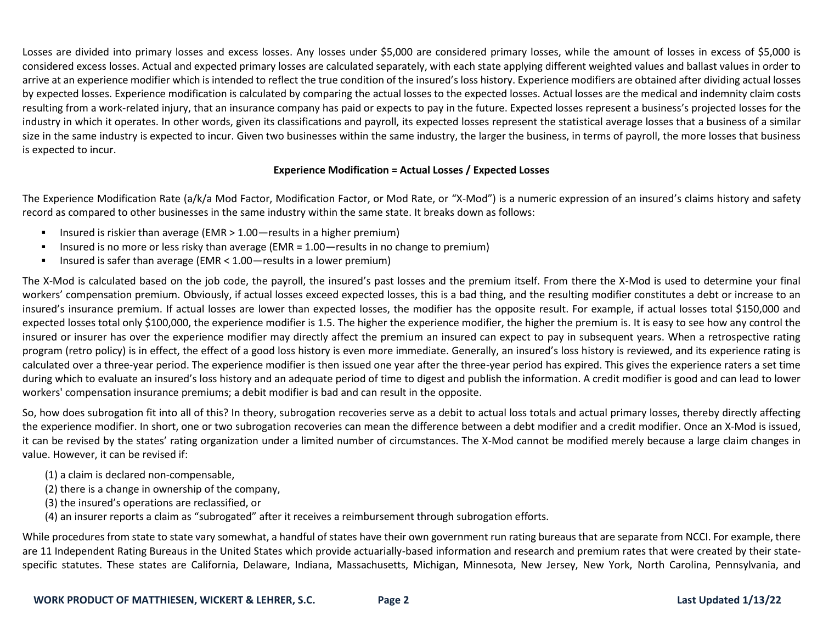Losses are divided into primary losses and excess losses. Any losses under \$5,000 are considered primary losses, while the amount of losses in excess of \$5,000 is considered excess losses. Actual and expected primary losses are calculated separately, with each state applying different weighted values and ballast values in order to arrive at an experience modifier which is intended to reflect the true condition of the insured's loss history. Experience modifiers are obtained after dividing actual losses by expected losses. Experience modification is calculated by comparing the actual losses to the expected losses. Actual losses are the medical and indemnity claim costs resulting from a work-related injury, that an insurance company has paid or expects to pay in the future. Expected losses represent a business's projected losses for the industry in which it operates. In other words, given its classifications and payroll, its expected losses represent the statistical average losses that a business of a similar size in the same industry is expected to incur. Given two businesses within the same industry, the larger the business, in terms of payroll, the more losses that business is expected to incur.

## **Experience Modification = Actual Losses / Expected Losses**

The Experience Modification Rate (a/k/a Mod Factor, Modification Factor, or Mod Rate, or "X-Mod") is a numeric expression of an insured's claims history and safety record as compared to other businesses in the same industry within the same state. It breaks down as follows:

- Insured is riskier than average (EMR  $> 1.00$  -results in a higher premium)
- **E** Insured is no more or less risky than average (EMR = 1.00 results in no change to premium)
- Insured is safer than average (EMR < 1.00 results in a lower premium)

The X-Mod is calculated based on the job code, the payroll, the insured's past losses and the premium itself. From there the X-Mod is used to determine your final workers' compensation premium. Obviously, if actual losses exceed expected losses, this is a bad thing, and the resulting modifier constitutes a debt or increase to an insured's insurance premium. If actual losses are lower than expected losses, the modifier has the opposite result. For example, if actual losses total \$150,000 and expected losses total only \$100,000, the experience modifier is 1.5. The higher the experience modifier, the higher the premium is. It is easy to see how any control the insured or insurer has over the experience modifier may directly affect the premium an insured can expect to pay in subsequent years. When a retrospective rating program (retro policy) is in effect, the effect of a good loss history is even more immediate. Generally, an insured's loss history is reviewed, and its experience rating is calculated over a three-year period. The experience modifier is then issued one year after the three-year period has expired. This gives the experience raters a set time during which to evaluate an insured's loss history and an adequate period of time to digest and publish the information. A credit modifier is good and can lead to lower workers' compensation insurance premiums; a debit modifier is bad and can result in the opposite.

So, how does subrogation fit into all of this? In theory, subrogation recoveries serve as a debit to actual loss totals and actual primary losses, thereby directly affecting the experience modifier. In short, one or two subrogation recoveries can mean the difference between a debt modifier and a credit modifier. Once an X-Mod is issued, it can be revised by the states' rating organization under a limited number of circumstances. The X-Mod cannot be modified merely because a large claim changes in value. However, it can be revised if:

- (1) a claim is declared non-compensable,
- (2) there is a change in ownership of the company,
- (3) the insured's operations are reclassified, or
- (4) an insurer reports a claim as "subrogated" after it receives a reimbursement through subrogation efforts.

While procedures from state to state vary somewhat, a handful of states have their own government run rating bureaus that are separate from NCCI. For example, there are 11 Independent Rating Bureaus in the United States which provide actuarially-based information and research and premium rates that were created by their statespecific statutes. These states are California, Delaware, Indiana, Massachusetts, Michigan, Minnesota, New Jersey, New York, North Carolina, Pennsylvania, and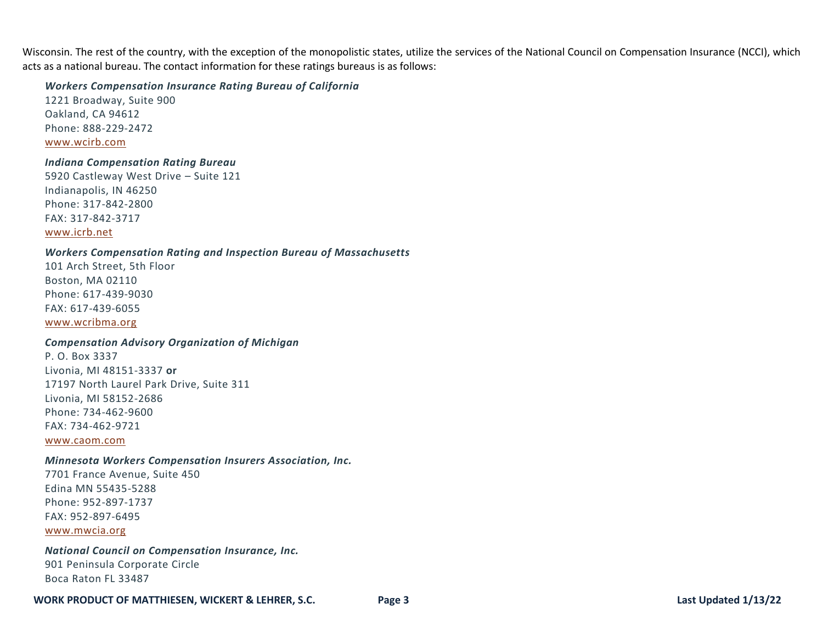Wisconsin. The rest of the country, with the exception of the monopolistic states, utilize the services of the National Council on Compensation Insurance (NCCI), which acts as a national bureau. The contact information for these ratings bureaus is as follows:

### *Workers Compensation Insurance Rating Bureau of California*

1221 Broadway, Suite 900 Oakland, CA 94612 Phone: 888-229-2472 [www.wcirb.com](http://www.wcirb.com/)

### *Indiana Compensation Rating Bureau*

5920 Castleway West Drive – Suite 121 Indianapolis, IN 46250 Phone: 317-842-2800 FAX: 317-842-3717 [www.icrb.net](http://www.icrb.net/)

## *Workers Compensation Rating and Inspection Bureau of Massachusetts*

101 Arch Street, 5th Floor Boston, MA 02110 Phone: 617-439-9030 FAX: 617-439-6055 [www.wcribma.org](http://www.wcribma.org/)

# *Compensation Advisory Organization of Michigan*

P. O. Box 3337 Livonia, MI 48151-3337 **or** 17197 North Laurel Park Drive, Suite 311 Livonia, MI 58152-2686 Phone: 734-462-9600 FAX: 734-462-9721

[www.caom.com](http://www.caom.com/)

### *Minnesota Workers Compensation Insurers Association, Inc.*

7701 France Avenue, Suite 450 Edina MN 55435-5288 Phone: 952-897-1737 FAX: 952-897-6495 [www.mwcia.org](http://www.mwcia.org/)

## *National Council on Compensation Insurance, Inc.* 901 Peninsula Corporate Circle Boca Raton FL 33487

#### **WORK PRODUCT OF MATTHIESEN, WICKERT & LEHRER, S.C. Page 3 Last Updated 1/13/22**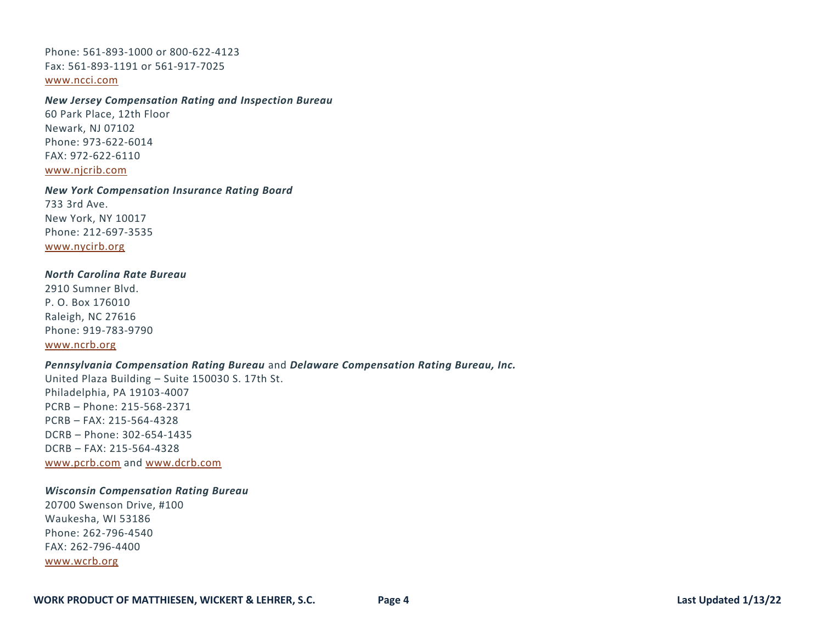Phone: 561-893-1000 or 800-622-4123 Fax: 561-893-1191 or 561-917-7025 [www.ncci.com](http://www.ncci.com/)

### *New Jersey Compensation Rating and Inspection Bureau*

60 Park Place, 12th Floor Newark, NJ 07102 Phone: 973-622-6014 FAX: 972-622-6110 [www.njcrib.com](http://www.njcrib.com/)

#### *New York Compensation Insurance Rating Board*

733 3rd Ave. New York, NY 10017 Phone: 212-697-3535 [www.nycirb.org](http://www.nycirb.org/)

### *North Carolina Rate Bureau*

2910 Sumner Blvd. P. O. Box 176010 Raleigh, NC 27616 Phone: 919-783-9790 [www.ncrb.org](http://www.ncrb.org/)

### *Pennsylvania Compensation Rating Bureau* and *Delaware Compensation Rating Bureau, Inc.*

United Plaza Building – Suite 150030 S. 17th St. Philadelphia, PA 19103-4007 PCRB – Phone: 215-568-2371 PCRB – FAX: 215-564-4328 DCRB – Phone: 302-654-1435 DCRB – FAX: 215-564-4328 [www.pcrb.com](http://www.pcrb.com/) and [www.dcrb.com](http://www.dcrb.com/)

## *Wisconsin Compensation Rating Bureau*

20700 Swenson Drive, #100 Waukesha, WI 53186 Phone: 262-796-4540 FAX: 262-796-4400 [www.wcrb.org](http://www.wcrb.org/)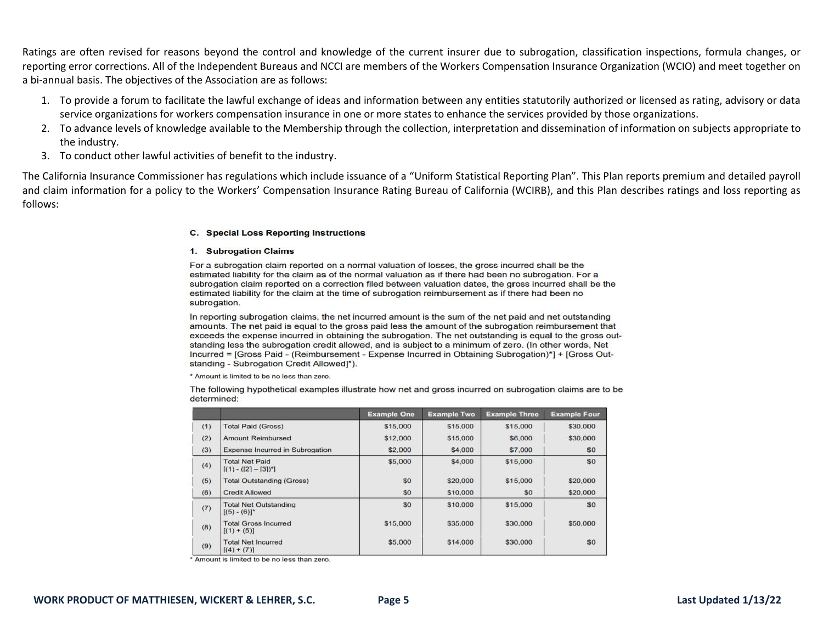Ratings are often revised for reasons beyond the control and knowledge of the current insurer due to subrogation, classification inspections, formula changes, or reporting error corrections. All of the Independent Bureaus and NCCI are members of the Workers Compensation Insurance Organization (WCIO) and meet together on a bi-annual basis. The objectives of the Association are as follows:

- 1. To provide a forum to facilitate the lawful exchange of ideas and information between any entities statutorily authorized or licensed as rating, advisory or data service organizations for workers compensation insurance in one or more states to enhance the services provided by those organizations.
- 2. To advance levels of knowledge available to the Membership through the collection, interpretation and dissemination of information on subjects appropriate to the industry.
- 3. To conduct other lawful activities of benefit to the industry.

The California Insurance Commissioner has regulations which include issuance of a "Uniform Statistical Reporting Plan". This Plan reports premium and detailed payroll and claim information for a policy to the Workers' Compensation Insurance Rating Bureau of California (WCIRB), and this Plan describes ratings and loss reporting as follows:

#### C. Special Loss Reporting Instructions

#### 1. Subrogation Claims

For a subrogation claim reported on a normal valuation of losses, the gross incurred shall be the estimated liability for the claim as of the normal valuation as if there had been no subrogation. For a subrogation claim reported on a correction filed between valuation dates, the gross incurred shall be the estimated liability for the claim at the time of subrogation reimbursement as if there had been no subrogation.

In reporting subrogation claims, the net incurred amount is the sum of the net paid and net outstanding amounts. The net paid is equal to the gross paid less the amount of the subrogation reimbursement that exceeds the expense incurred in obtaining the subrogation. The net outstanding is equal to the gross outstanding less the subrogation credit allowed, and is subject to a minimum of zero. (In other words, Net Incurred = [Gross Paid - (Reimbursement - Expense Incurred in Obtaining Subrogation)\*] + [Gross Outstanding - Subrogation Credit Allowed]\*).

\* Amount is limited to be no less than zero.

The following hypothetical examples illustrate how net and gross incurred on subrogation claims are to be determined:

|     |                                                        | <b>Example One</b> | <b>Example Two</b> | <b>Example Three</b> | <b>Example Four</b> |
|-----|--------------------------------------------------------|--------------------|--------------------|----------------------|---------------------|
| (1) | <b>Total Paid (Gross)</b>                              | \$15,000           | \$15,000           | \$15,000             | \$30,000            |
| (2) | <b>Amount Reimbursed</b>                               | \$12,000           | \$15,000           | \$6,000              | \$30,000            |
| (3) | <b>Expense Incurred in Subrogation</b>                 | \$2,000            | \$4,000            | \$7,000              | \$0                 |
| (4) | <b>Total Net Paid</b><br>$[(1) - ([2] - [3])^{\circ}]$ | \$5,000            | \$4,000            | \$15,000             | \$0                 |
| (5) | <b>Total Outstanding (Gross)</b>                       | \$0                | \$20,000           | \$15,000             | \$20,000            |
| (6) | <b>Credit Allowed</b>                                  | \$0                | \$10,000           | \$0                  | \$20,000            |
| (7) | <b>Total Net Outstanding</b><br>$[(5) - (6)]^*$        | \$0                | \$10,000           | \$15,000             | \$0                 |
| (8) | <b>Total Gross Incurred</b><br>$[(1) + (5)]$           | \$15,000           | \$35,000           | \$30,000             | \$50,000            |
| (9) | <b>Total Net Incurred</b><br>$[(4) + (7)]$             | \$5,000            | \$14,000           | \$30,000             | \$0                 |

\* Amount is limited to be no less than zero.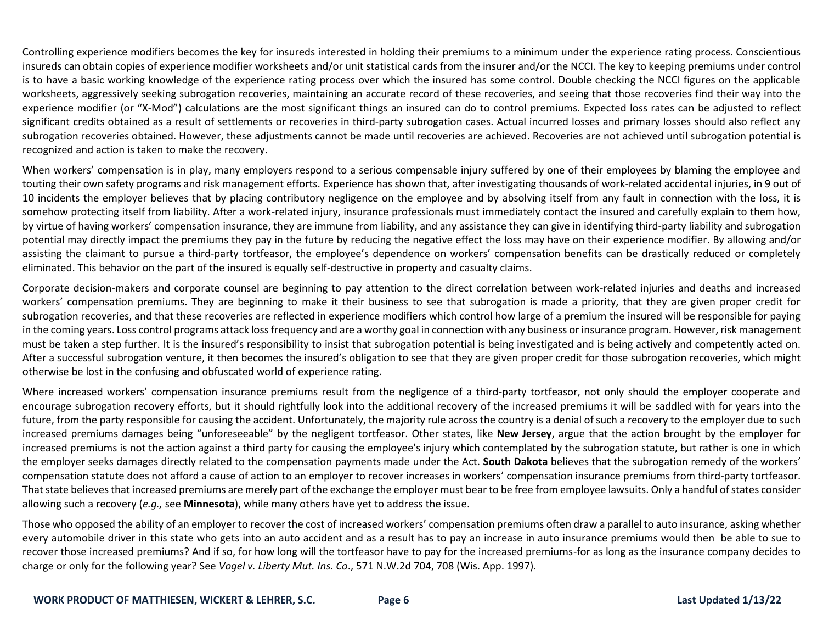Controlling experience modifiers becomes the key for insureds interested in holding their premiums to a minimum under the experience rating process. Conscientious insureds can obtain copies of experience modifier worksheets and/or unit statistical cards from the insurer and/or the NCCI. The key to keeping premiums under control is to have a basic working knowledge of the experience rating process over which the insured has some control. Double checking the NCCI figures on the applicable worksheets, aggressively seeking subrogation recoveries, maintaining an accurate record of these recoveries, and seeing that those recoveries find their way into the experience modifier (or "X-Mod") calculations are the most significant things an insured can do to control premiums. Expected loss rates can be adjusted to reflect significant credits obtained as a result of settlements or recoveries in third-party subrogation cases. Actual incurred losses and primary losses should also reflect any subrogation recoveries obtained. However, these adjustments cannot be made until recoveries are achieved. Recoveries are not achieved until subrogation potential is recognized and action is taken to make the recovery.

When workers' compensation is in play, many employers respond to a serious compensable injury suffered by one of their employees by blaming the employee and touting their own safety programs and risk management efforts. Experience has shown that, after investigating thousands of work-related accidental injuries, in 9 out of 10 incidents the employer believes that by placing contributory negligence on the employee and by absolving itself from any fault in connection with the loss, it is somehow protecting itself from liability. After a work-related injury, insurance professionals must immediately contact the insured and carefully explain to them how, by virtue of having workers' compensation insurance, they are immune from liability, and any assistance they can give in identifying third-party liability and subrogation potential may directly impact the premiums they pay in the future by reducing the negative effect the loss may have on their experience modifier. By allowing and/or assisting the claimant to pursue a third-party tortfeasor, the employee's dependence on workers' compensation benefits can be drastically reduced or completely eliminated. This behavior on the part of the insured is equally self-destructive in property and casualty claims.

Corporate decision-makers and corporate counsel are beginning to pay attention to the direct correlation between work-related injuries and deaths and increased workers' compensation premiums. They are beginning to make it their business to see that subrogation is made a priority, that they are given proper credit for subrogation recoveries, and that these recoveries are reflected in experience modifiers which control how large of a premium the insured will be responsible for paying in the coming years. Loss control programs attack loss frequency and are a worthy goal in connection with any business or insurance program. However, risk management must be taken a step further. It is the insured's responsibility to insist that subrogation potential is being investigated and is being actively and competently acted on. After a successful subrogation venture, it then becomes the insured's obligation to see that they are given proper credit for those subrogation recoveries, which might otherwise be lost in the confusing and obfuscated world of experience rating.

Where increased workers' compensation insurance premiums result from the negligence of a third-party tortfeasor, not only should the employer cooperate and encourage subrogation recovery efforts, but it should rightfully look into the additional recovery of the increased premiums it will be saddled with for years into the future, from the party responsible for causing the accident. Unfortunately, the majority rule across the country is a denial of such a recovery to the employer due to such increased premiums damages being "unforeseeable" by the negligent tortfeasor. Other states, like **New Jersey**, argue that the action brought by the employer for increased premiums is not the action against a third party for causing the employee's injury which contemplated by the subrogation statute, but rather is one in which the employer seeks damages directly related to the compensation payments made under the Act. **South Dakota** believes that the subrogation remedy of the workers' compensation statute does not afford a cause of action to an employer to recover increases in workers' compensation insurance premiums from third-party tortfeasor. That state believes that increased premiums are merely part of the exchange the employer must bear to be free from employee lawsuits. Only a handful of states consider allowing such a recovery (*e.g.,* see **Minnesota**), while many others have yet to address the issue.

Those who opposed the ability of an employer to recover the cost of increased workers' compensation premiums often draw a parallel to auto insurance, asking whether every automobile driver in this state who gets into an auto accident and as a result has to pay an increase in auto insurance premiums would then be able to sue to recover those increased premiums? And if so, for how long will the tortfeasor have to pay for the increased premiums-for as long as the insurance company decides to charge or only for the following year? See *Vogel v. Liberty Mut. Ins. Co*., 571 N.W.2d 704, 708 (Wis. App. 1997).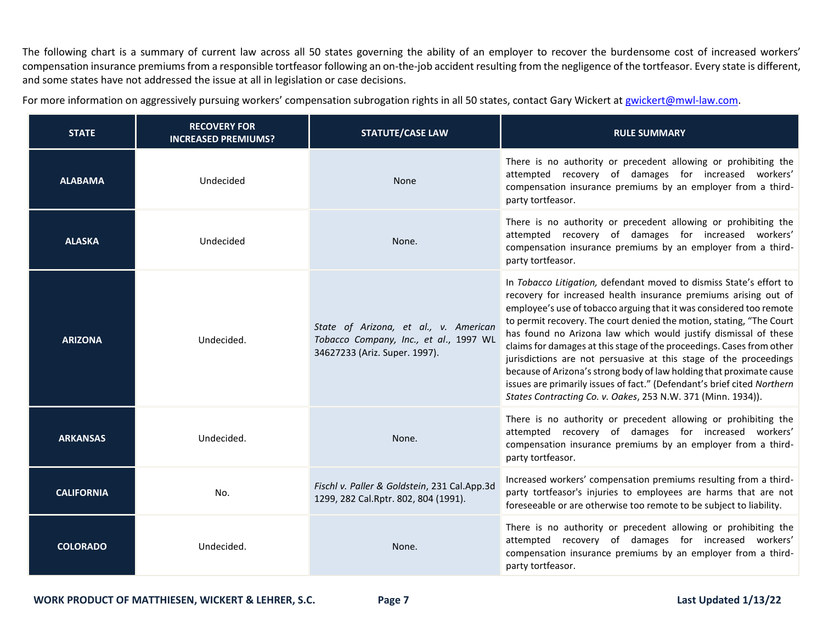The following chart is a summary of current law across all 50 states governing the ability of an employer to recover the burdensome cost of increased workers' compensation insurance premiums from a responsible tortfeasor following an on-the-job accident resulting from the negligence of the tortfeasor. Every state is different, and some states have not addressed the issue at all in legislation or case decisions.

For more information on aggressively pursuing workers' compensation subrogation rights in all 50 states, contact Gary Wickert at [gwickert@mwl-law.com.](mailto:gwickert@mwl-law.com)

| <b>STATE</b>      | <b>RECOVERY FOR</b><br><b>INCREASED PREMIUMS?</b> | <b>STATUTE/CASE LAW</b>                                                                                          | <b>RULE SUMMARY</b>                                                                                                                                                                                                                                                                                                                                                                                                                                                                                                                                                                                                                                                                                                       |
|-------------------|---------------------------------------------------|------------------------------------------------------------------------------------------------------------------|---------------------------------------------------------------------------------------------------------------------------------------------------------------------------------------------------------------------------------------------------------------------------------------------------------------------------------------------------------------------------------------------------------------------------------------------------------------------------------------------------------------------------------------------------------------------------------------------------------------------------------------------------------------------------------------------------------------------------|
| <b>ALABAMA</b>    | Undecided                                         | None                                                                                                             | There is no authority or precedent allowing or prohibiting the<br>attempted recovery of damages for increased workers'<br>compensation insurance premiums by an employer from a third-<br>party tortfeasor.                                                                                                                                                                                                                                                                                                                                                                                                                                                                                                               |
| <b>ALASKA</b>     | Undecided                                         | None.                                                                                                            | There is no authority or precedent allowing or prohibiting the<br>attempted recovery of damages for increased workers'<br>compensation insurance premiums by an employer from a third-<br>party tortfeasor.                                                                                                                                                                                                                                                                                                                                                                                                                                                                                                               |
| <b>ARIZONA</b>    | Undecided.                                        | State of Arizona, et al., v. American<br>Tobacco Company, Inc., et al., 1997 WL<br>34627233 (Ariz. Super. 1997). | In Tobacco Litigation, defendant moved to dismiss State's effort to<br>recovery for increased health insurance premiums arising out of<br>employee's use of tobacco arguing that it was considered too remote<br>to permit recovery. The court denied the motion, stating, "The Court<br>has found no Arizona law which would justify dismissal of these<br>claims for damages at this stage of the proceedings. Cases from other<br>jurisdictions are not persuasive at this stage of the proceedings<br>because of Arizona's strong body of law holding that proximate cause<br>issues are primarily issues of fact." (Defendant's brief cited Northern<br>States Contracting Co. v. Oakes, 253 N.W. 371 (Minn. 1934)). |
| <b>ARKANSAS</b>   | Undecided.                                        | None.                                                                                                            | There is no authority or precedent allowing or prohibiting the<br>attempted recovery of damages for increased workers'<br>compensation insurance premiums by an employer from a third-<br>party tortfeasor.                                                                                                                                                                                                                                                                                                                                                                                                                                                                                                               |
| <b>CALIFORNIA</b> | No.                                               | Fischl v. Paller & Goldstein, 231 Cal.App.3d<br>1299, 282 Cal.Rptr. 802, 804 (1991).                             | Increased workers' compensation premiums resulting from a third-<br>party tortfeasor's injuries to employees are harms that are not<br>foreseeable or are otherwise too remote to be subject to liability.                                                                                                                                                                                                                                                                                                                                                                                                                                                                                                                |
| <b>COLORADO</b>   | Undecided.                                        | None.                                                                                                            | There is no authority or precedent allowing or prohibiting the<br>attempted recovery of damages for increased workers'<br>compensation insurance premiums by an employer from a third-<br>party tortfeasor.                                                                                                                                                                                                                                                                                                                                                                                                                                                                                                               |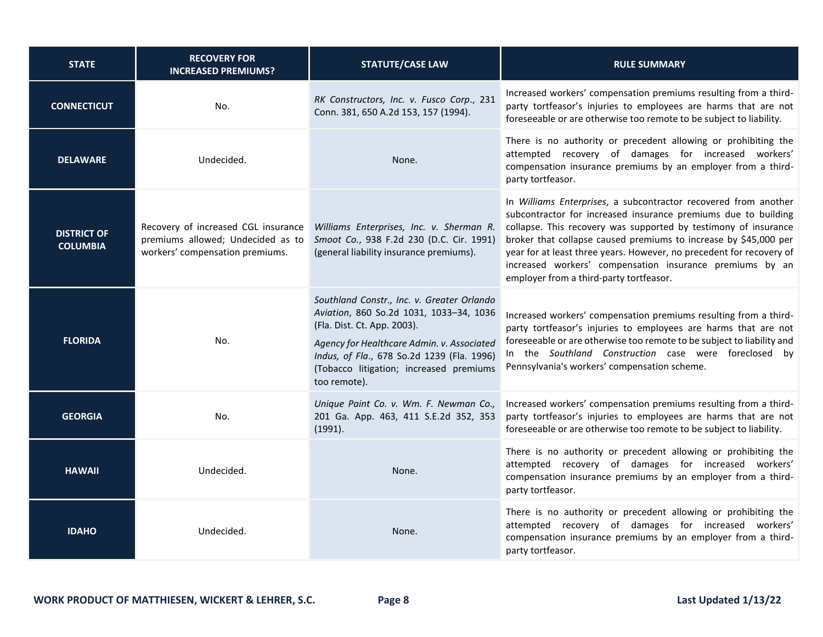| <b>STATE</b>                          | <b>RECOVERY FOR</b><br><b>INCREASED PREMIUMS?</b>                                                           | <b>STATUTE/CASE LAW</b>                                                                                                                                                                                                                                                     | <b>RULE SUMMARY</b>                                                                                                                                                                                                                                                                                                                                                                                                                                     |
|---------------------------------------|-------------------------------------------------------------------------------------------------------------|-----------------------------------------------------------------------------------------------------------------------------------------------------------------------------------------------------------------------------------------------------------------------------|---------------------------------------------------------------------------------------------------------------------------------------------------------------------------------------------------------------------------------------------------------------------------------------------------------------------------------------------------------------------------------------------------------------------------------------------------------|
| <b>CONNECTICUT</b>                    | No.                                                                                                         | RK Constructors, Inc. v. Fusco Corp., 231<br>Conn. 381, 650 A.2d 153, 157 (1994).                                                                                                                                                                                           | Increased workers' compensation premiums resulting from a third-<br>party tortfeasor's injuries to employees are harms that are not<br>foreseeable or are otherwise too remote to be subject to liability.                                                                                                                                                                                                                                              |
| <b>DELAWARE</b>                       | Undecided.                                                                                                  | None.                                                                                                                                                                                                                                                                       | There is no authority or precedent allowing or prohibiting the<br>attempted recovery of damages for increased workers'<br>compensation insurance premiums by an employer from a third-<br>party tortfeasor.                                                                                                                                                                                                                                             |
| <b>DISTRICT OF</b><br><b>COLUMBIA</b> | Recovery of increased CGL insurance<br>premiums allowed; Undecided as to<br>workers' compensation premiums. | Williams Enterprises, Inc. v. Sherman R.<br>Smoot Co., 938 F.2d 230 (D.C. Cir. 1991)<br>(general liability insurance premiums).                                                                                                                                             | In Williams Enterprises, a subcontractor recovered from another<br>subcontractor for increased insurance premiums due to building<br>collapse. This recovery was supported by testimony of insurance<br>broker that collapse caused premiums to increase by \$45,000 per<br>year for at least three years. However, no precedent for recovery of<br>increased workers' compensation insurance premiums by an<br>employer from a third-party tortfeasor. |
| <b>FLORIDA</b>                        | No.                                                                                                         | Southland Constr., Inc. v. Greater Orlando<br>Aviation, 860 So.2d 1031, 1033-34, 1036<br>(Fla. Dist. Ct. App. 2003).<br>Agency for Healthcare Admin. v. Associated<br>Indus, of Fla., 678 So.2d 1239 (Fla. 1996)<br>(Tobacco litigation; increased premiums<br>too remote). | Increased workers' compensation premiums resulting from a third-<br>party tortfeasor's injuries to employees are harms that are not<br>foreseeable or are otherwise too remote to be subject to liability and<br>In the Southland Construction case were foreclosed by<br>Pennsylvania's workers' compensation scheme.                                                                                                                                  |
| <b>GEORGIA</b>                        | No.                                                                                                         | Unique Paint Co. v. Wm. F. Newman Co.,<br>201 Ga. App. 463, 411 S.E.2d 352, 353<br>(1991).                                                                                                                                                                                  | Increased workers' compensation premiums resulting from a third-<br>party tortfeasor's injuries to employees are harms that are not<br>foreseeable or are otherwise too remote to be subject to liability.                                                                                                                                                                                                                                              |
| <b>HAWAII</b>                         | Undecided.                                                                                                  | None.                                                                                                                                                                                                                                                                       | There is no authority or precedent allowing or prohibiting the<br>attempted recovery of damages for increased workers'<br>compensation insurance premiums by an employer from a third-<br>party tortfeasor.                                                                                                                                                                                                                                             |
| <b>IDAHO</b>                          | Undecided.                                                                                                  | None.                                                                                                                                                                                                                                                                       | There is no authority or precedent allowing or prohibiting the<br>attempted recovery of damages for increased workers'<br>compensation insurance premiums by an employer from a third-<br>party tortfeasor.                                                                                                                                                                                                                                             |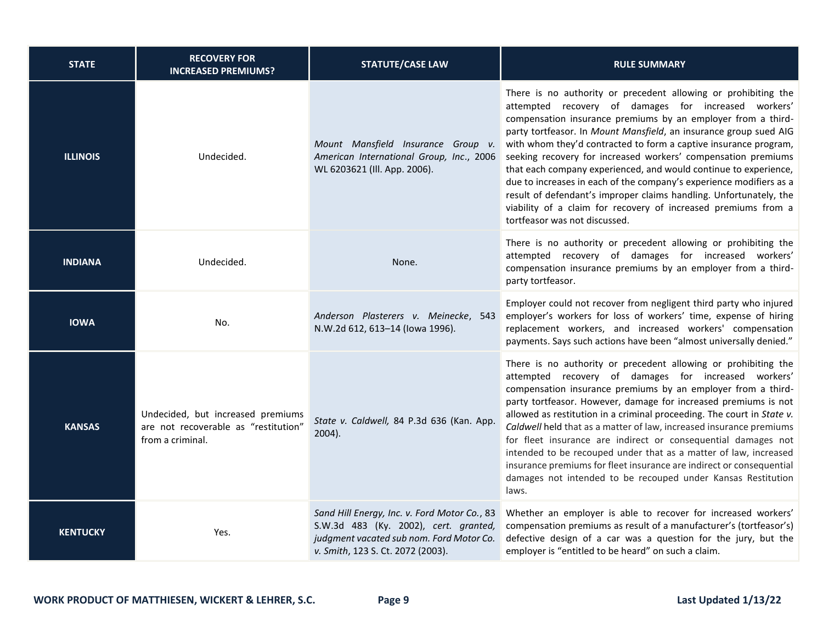| <b>STATE</b>    | <b>RECOVERY FOR</b><br><b>INCREASED PREMIUMS?</b>                                             | <b>STATUTE/CASE LAW</b>                                                                                                                                                | <b>RULE SUMMARY</b>                                                                                                                                                                                                                                                                                                                                                                                                                                                                                                                                                                                                                                                                                                  |
|-----------------|-----------------------------------------------------------------------------------------------|------------------------------------------------------------------------------------------------------------------------------------------------------------------------|----------------------------------------------------------------------------------------------------------------------------------------------------------------------------------------------------------------------------------------------------------------------------------------------------------------------------------------------------------------------------------------------------------------------------------------------------------------------------------------------------------------------------------------------------------------------------------------------------------------------------------------------------------------------------------------------------------------------|
| <b>ILLINOIS</b> | Undecided.                                                                                    | Mount Mansfield Insurance Group v.<br>American International Group, Inc., 2006<br>WL 6203621 (Ill. App. 2006).                                                         | There is no authority or precedent allowing or prohibiting the<br>attempted recovery of damages for increased workers'<br>compensation insurance premiums by an employer from a third-<br>party tortfeasor. In Mount Mansfield, an insurance group sued AIG<br>with whom they'd contracted to form a captive insurance program,<br>seeking recovery for increased workers' compensation premiums<br>that each company experienced, and would continue to experience,<br>due to increases in each of the company's experience modifiers as a<br>result of defendant's improper claims handling. Unfortunately, the<br>viability of a claim for recovery of increased premiums from a<br>tortfeasor was not discussed. |
| <b>INDIANA</b>  | Undecided.                                                                                    | None.                                                                                                                                                                  | There is no authority or precedent allowing or prohibiting the<br>attempted recovery of damages for increased workers'<br>compensation insurance premiums by an employer from a third-<br>party tortfeasor.                                                                                                                                                                                                                                                                                                                                                                                                                                                                                                          |
| <b>IOWA</b>     | No.                                                                                           | Anderson Plasterers v. Meinecke, 543<br>N.W.2d 612, 613-14 (lowa 1996).                                                                                                | Employer could not recover from negligent third party who injured<br>employer's workers for loss of workers' time, expense of hiring<br>replacement workers, and increased workers' compensation<br>payments. Says such actions have been "almost universally denied."                                                                                                                                                                                                                                                                                                                                                                                                                                               |
| <b>KANSAS</b>   | Undecided, but increased premiums<br>are not recoverable as "restitution"<br>from a criminal. | State v. Caldwell, 84 P.3d 636 (Kan. App.<br>$2004$ ).                                                                                                                 | There is no authority or precedent allowing or prohibiting the<br>attempted recovery of damages for increased workers'<br>compensation insurance premiums by an employer from a third-<br>party tortfeasor. However, damage for increased premiums is not<br>allowed as restitution in a criminal proceeding. The court in State v.<br>Caldwell held that as a matter of law, increased insurance premiums<br>for fleet insurance are indirect or consequential damages not<br>intended to be recouped under that as a matter of law, increased<br>insurance premiums for fleet insurance are indirect or consequential<br>damages not intended to be recouped under Kansas Restitution<br>laws.                     |
| <b>KENTUCKY</b> | Yes.                                                                                          | Sand Hill Energy, Inc. v. Ford Motor Co., 83<br>S.W.3d 483 (Ky. 2002), cert. granted,<br>judgment vacated sub nom. Ford Motor Co.<br>v. Smith, 123 S. Ct. 2072 (2003). | Whether an employer is able to recover for increased workers'<br>compensation premiums as result of a manufacturer's (tortfeasor's)<br>defective design of a car was a question for the jury, but the<br>employer is "entitled to be heard" on such a claim.                                                                                                                                                                                                                                                                                                                                                                                                                                                         |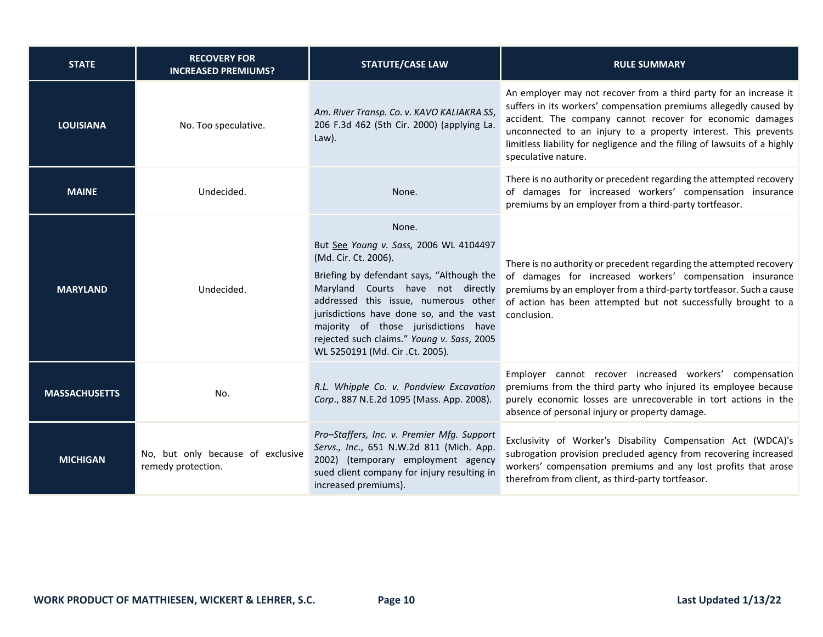| <b>STATE</b>         | <b>RECOVERY FOR</b><br><b>INCREASED PREMIUMS?</b>       | <b>STATUTE/CASE LAW</b>                                                                                                                                                                                                                                                                                                                                                            | <b>RULE SUMMARY</b>                                                                                                                                                                                                                                                                                                                                                       |
|----------------------|---------------------------------------------------------|------------------------------------------------------------------------------------------------------------------------------------------------------------------------------------------------------------------------------------------------------------------------------------------------------------------------------------------------------------------------------------|---------------------------------------------------------------------------------------------------------------------------------------------------------------------------------------------------------------------------------------------------------------------------------------------------------------------------------------------------------------------------|
| <b>LOUISIANA</b>     | No. Too speculative.                                    | Am. River Transp. Co. v. KAVO KALIAKRA SS,<br>206 F.3d 462 (5th Cir. 2000) (applying La.<br>Law).                                                                                                                                                                                                                                                                                  | An employer may not recover from a third party for an increase it<br>suffers in its workers' compensation premiums allegedly caused by<br>accident. The company cannot recover for economic damages<br>unconnected to an injury to a property interest. This prevents<br>limitless liability for negligence and the filing of lawsuits of a highly<br>speculative nature. |
| <b>MAINE</b>         | Undecided.                                              | None.                                                                                                                                                                                                                                                                                                                                                                              | There is no authority or precedent regarding the attempted recovery<br>of damages for increased workers' compensation insurance<br>premiums by an employer from a third-party tortfeasor.                                                                                                                                                                                 |
| <b>MARYLAND</b>      | Undecided.                                              | None.<br>But See Young v. Sass, 2006 WL 4104497<br>(Md. Cir. Ct. 2006).<br>Briefing by defendant says, "Although the<br>Maryland Courts have not directly<br>addressed this issue, numerous other<br>jurisdictions have done so, and the vast conclusion.<br>majority of those jurisdictions have<br>rejected such claims." Young v. Sass, 2005<br>WL 5250191 (Md. Cir .Ct. 2005). | There is no authority or precedent regarding the attempted recovery<br>of damages for increased workers' compensation insurance<br>premiums by an employer from a third-party tortfeasor. Such a cause<br>of action has been attempted but not successfully brought to a                                                                                                  |
| <b>MASSACHUSETTS</b> | No.                                                     | R.L. Whipple Co. v. Pondview Excavation<br>Corp., 887 N.E.2d 1095 (Mass. App. 2008).                                                                                                                                                                                                                                                                                               | Employer cannot recover increased workers' compensation<br>premiums from the third party who injured its employee because<br>purely economic losses are unrecoverable in tort actions in the<br>absence of personal injury or property damage.                                                                                                                            |
| <b>MICHIGAN</b>      | No, but only because of exclusive<br>remedy protection. | Pro-Staffers, Inc. v. Premier Mfg. Support<br>Servs., Inc., 651 N.W.2d 811 (Mich. App.<br>2002) (temporary employment agency<br>sued client company for injury resulting in<br>increased premiums).                                                                                                                                                                                | Exclusivity of Worker's Disability Compensation Act (WDCA)'s<br>subrogation provision precluded agency from recovering increased<br>workers' compensation premiums and any lost profits that arose<br>therefrom from client, as third-party tortfeasor.                                                                                                                   |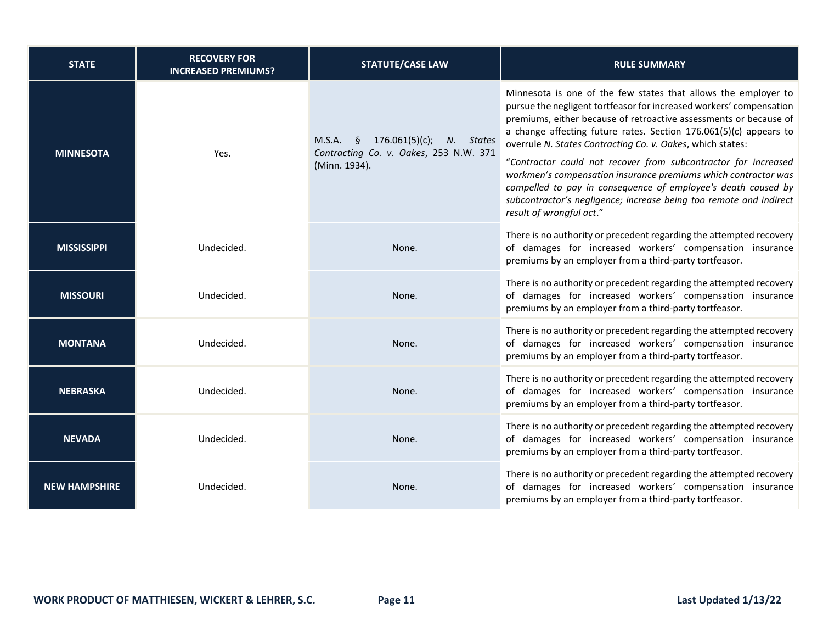| <b>STATE</b>         | <b>RECOVERY FOR</b><br><b>INCREASED PREMIUMS?</b> | <b>STATUTE/CASE LAW</b>                                                                              | <b>RULE SUMMARY</b>                                                                                                                                                                                                                                                                                                                                                                                                                                                                                                                                                                                                                                  |
|----------------------|---------------------------------------------------|------------------------------------------------------------------------------------------------------|------------------------------------------------------------------------------------------------------------------------------------------------------------------------------------------------------------------------------------------------------------------------------------------------------------------------------------------------------------------------------------------------------------------------------------------------------------------------------------------------------------------------------------------------------------------------------------------------------------------------------------------------------|
| <b>MINNESOTA</b>     | Yes.                                              | 176.061(5)(c);<br>$M.S.A.$ §<br>N. States<br>Contracting Co. v. Oakes, 253 N.W. 371<br>(Minn. 1934). | Minnesota is one of the few states that allows the employer to<br>pursue the negligent tortfeasor for increased workers' compensation<br>premiums, either because of retroactive assessments or because of<br>a change affecting future rates. Section 176.061(5)(c) appears to<br>overrule N. States Contracting Co. v. Oakes, which states:<br>"Contractor could not recover from subcontractor for increased<br>workmen's compensation insurance premiums which contractor was<br>compelled to pay in consequence of employee's death caused by<br>subcontractor's negligence; increase being too remote and indirect<br>result of wrongful act." |
| <b>MISSISSIPPI</b>   | Undecided.                                        | None.                                                                                                | There is no authority or precedent regarding the attempted recovery<br>of damages for increased workers' compensation insurance<br>premiums by an employer from a third-party tortfeasor.                                                                                                                                                                                                                                                                                                                                                                                                                                                            |
| <b>MISSOURI</b>      | Undecided.                                        | None.                                                                                                | There is no authority or precedent regarding the attempted recovery<br>of damages for increased workers' compensation insurance<br>premiums by an employer from a third-party tortfeasor.                                                                                                                                                                                                                                                                                                                                                                                                                                                            |
| <b>MONTANA</b>       | Undecided.                                        | None.                                                                                                | There is no authority or precedent regarding the attempted recovery<br>of damages for increased workers' compensation insurance<br>premiums by an employer from a third-party tortfeasor.                                                                                                                                                                                                                                                                                                                                                                                                                                                            |
| <b>NEBRASKA</b>      | Undecided.                                        | None.                                                                                                | There is no authority or precedent regarding the attempted recovery<br>of damages for increased workers' compensation insurance<br>premiums by an employer from a third-party tortfeasor.                                                                                                                                                                                                                                                                                                                                                                                                                                                            |
| <b>NEVADA</b>        | Undecided.                                        | None.                                                                                                | There is no authority or precedent regarding the attempted recovery<br>of damages for increased workers' compensation insurance<br>premiums by an employer from a third-party tortfeasor.                                                                                                                                                                                                                                                                                                                                                                                                                                                            |
| <b>NEW HAMPSHIRE</b> | Undecided.                                        | None.                                                                                                | There is no authority or precedent regarding the attempted recovery<br>of damages for increased workers' compensation insurance<br>premiums by an employer from a third-party tortfeasor.                                                                                                                                                                                                                                                                                                                                                                                                                                                            |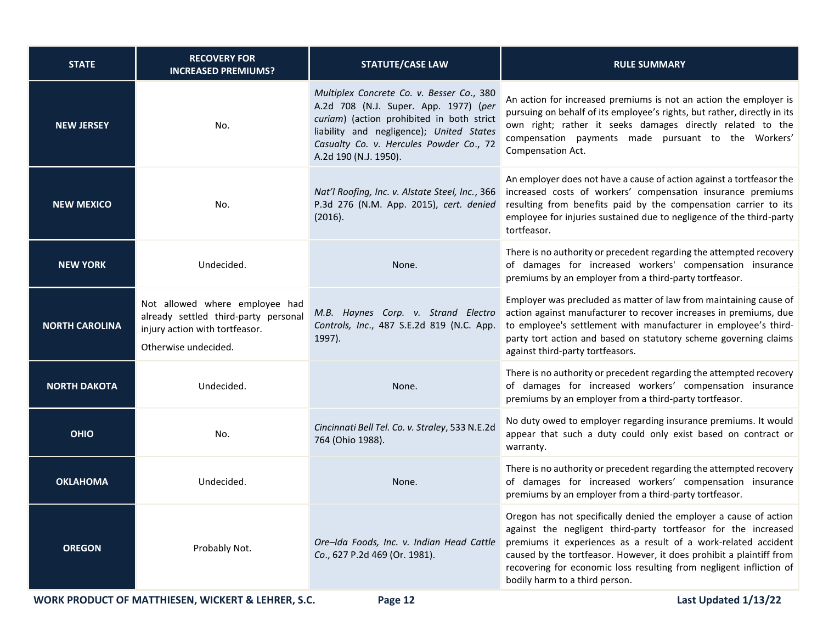| <b>STATE</b>          | <b>RECOVERY FOR</b><br><b>INCREASED PREMIUMS?</b>                                                                                | <b>STATUTE/CASE LAW</b>                                                                                                                                                                                                                         | <b>RULE SUMMARY</b>                                                                                                                                                                                                                                                                                                                                                                    |
|-----------------------|----------------------------------------------------------------------------------------------------------------------------------|-------------------------------------------------------------------------------------------------------------------------------------------------------------------------------------------------------------------------------------------------|----------------------------------------------------------------------------------------------------------------------------------------------------------------------------------------------------------------------------------------------------------------------------------------------------------------------------------------------------------------------------------------|
| <b>NEW JERSEY</b>     | No.                                                                                                                              | Multiplex Concrete Co. v. Besser Co., 380<br>A.2d 708 (N.J. Super. App. 1977) (per<br>curiam) (action prohibited in both strict<br>liability and negligence); United States<br>Casualty Co. v. Hercules Powder Co., 72<br>A.2d 190 (N.J. 1950). | An action for increased premiums is not an action the employer is<br>pursuing on behalf of its employee's rights, but rather, directly in its<br>own right; rather it seeks damages directly related to the<br>compensation payments made pursuant to the Workers'<br>Compensation Act.                                                                                                |
| <b>NEW MEXICO</b>     | No.                                                                                                                              | Nat'l Roofing, Inc. v. Alstate Steel, Inc., 366<br>P.3d 276 (N.M. App. 2015), cert. denied<br>(2016).                                                                                                                                           | An employer does not have a cause of action against a tortfeasor the<br>increased costs of workers' compensation insurance premiums<br>resulting from benefits paid by the compensation carrier to its<br>employee for injuries sustained due to negligence of the third-party<br>tortfeasor.                                                                                          |
| <b>NEW YORK</b>       | Undecided.                                                                                                                       | None.                                                                                                                                                                                                                                           | There is no authority or precedent regarding the attempted recovery<br>of damages for increased workers' compensation insurance<br>premiums by an employer from a third-party tortfeasor.                                                                                                                                                                                              |
| <b>NORTH CAROLINA</b> | Not allowed where employee had<br>already settled third-party personal<br>injury action with tortfeasor.<br>Otherwise undecided. | M.B. Haynes Corp. v. Strand Electro<br>Controls, Inc., 487 S.E.2d 819 (N.C. App.<br>1997).                                                                                                                                                      | Employer was precluded as matter of law from maintaining cause of<br>action against manufacturer to recover increases in premiums, due<br>to employee's settlement with manufacturer in employee's third-<br>party tort action and based on statutory scheme governing claims<br>against third-party tortfeasors.                                                                      |
| <b>NORTH DAKOTA</b>   | Undecided.                                                                                                                       | None.                                                                                                                                                                                                                                           | There is no authority or precedent regarding the attempted recovery<br>of damages for increased workers' compensation insurance<br>premiums by an employer from a third-party tortfeasor.                                                                                                                                                                                              |
| <b>OHIO</b>           | No.                                                                                                                              | Cincinnati Bell Tel. Co. v. Straley, 533 N.E.2d<br>764 (Ohio 1988).                                                                                                                                                                             | No duty owed to employer regarding insurance premiums. It would<br>appear that such a duty could only exist based on contract or<br>warranty.                                                                                                                                                                                                                                          |
| <b>OKLAHOMA</b>       | Undecided.                                                                                                                       | None.                                                                                                                                                                                                                                           | There is no authority or precedent regarding the attempted recovery<br>of damages for increased workers' compensation insurance<br>premiums by an employer from a third-party tortfeasor.                                                                                                                                                                                              |
| <b>OREGON</b>         | Probably Not.                                                                                                                    | Ore-Ida Foods, Inc. v. Indian Head Cattle<br>Co., 627 P.2d 469 (Or. 1981).                                                                                                                                                                      | Oregon has not specifically denied the employer a cause of action<br>against the negligent third-party tortfeasor for the increased<br>premiums it experiences as a result of a work-related accident<br>caused by the tortfeasor. However, it does prohibit a plaintiff from<br>recovering for economic loss resulting from negligent infliction of<br>bodily harm to a third person. |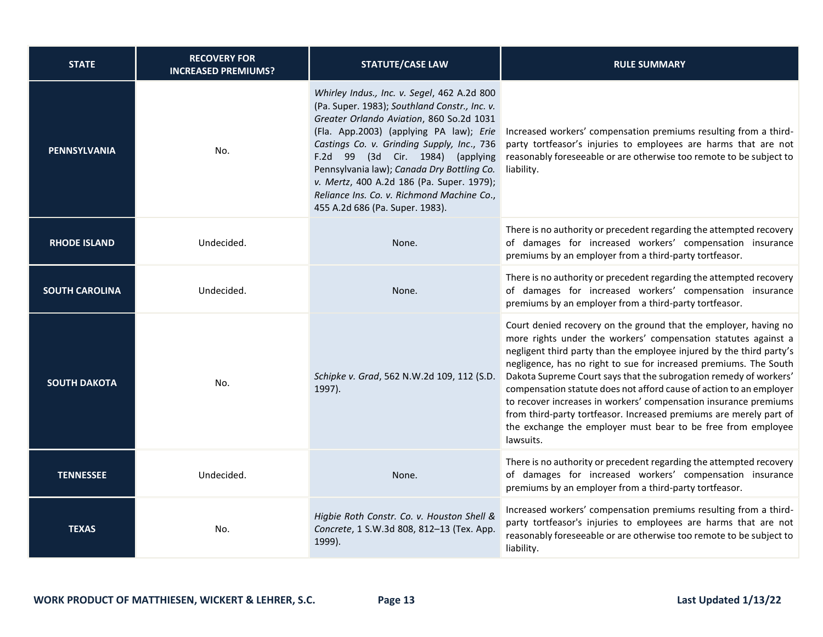| <b>STATE</b>          | <b>RECOVERY FOR</b><br><b>INCREASED PREMIUMS?</b> | <b>STATUTE/CASE LAW</b>                                                                                                                                                                                                                                                                                                                                                                                                                           | <b>RULE SUMMARY</b>                                                                                                                                                                                                                                                                                                                                                                                                                                                                                                                                                                                                                                |
|-----------------------|---------------------------------------------------|---------------------------------------------------------------------------------------------------------------------------------------------------------------------------------------------------------------------------------------------------------------------------------------------------------------------------------------------------------------------------------------------------------------------------------------------------|----------------------------------------------------------------------------------------------------------------------------------------------------------------------------------------------------------------------------------------------------------------------------------------------------------------------------------------------------------------------------------------------------------------------------------------------------------------------------------------------------------------------------------------------------------------------------------------------------------------------------------------------------|
| <b>PENNSYLVANIA</b>   | No.                                               | Whirley Indus., Inc. v. Segel, 462 A.2d 800<br>(Pa. Super. 1983); Southland Constr., Inc. v.<br>Greater Orlando Aviation, 860 So.2d 1031<br>(Fla. App.2003) (applying PA law); Erie<br>Castings Co. v. Grinding Supply, Inc., 736<br>F.2d 99 (3d Cir. 1984) (applying<br>Pennsylvania law); Canada Dry Bottling Co.<br>v. Mertz, 400 A.2d 186 (Pa. Super. 1979);<br>Reliance Ins. Co. v. Richmond Machine Co.,<br>455 A.2d 686 (Pa. Super. 1983). | Increased workers' compensation premiums resulting from a third-<br>party tortfeasor's injuries to employees are harms that are not<br>reasonably foreseeable or are otherwise too remote to be subject to<br>liability.                                                                                                                                                                                                                                                                                                                                                                                                                           |
| <b>RHODE ISLAND</b>   | Undecided.                                        | None.                                                                                                                                                                                                                                                                                                                                                                                                                                             | There is no authority or precedent regarding the attempted recovery<br>of damages for increased workers' compensation insurance<br>premiums by an employer from a third-party tortfeasor.                                                                                                                                                                                                                                                                                                                                                                                                                                                          |
| <b>SOUTH CAROLINA</b> | Undecided.                                        | None.                                                                                                                                                                                                                                                                                                                                                                                                                                             | There is no authority or precedent regarding the attempted recovery<br>of damages for increased workers' compensation insurance<br>premiums by an employer from a third-party tortfeasor.                                                                                                                                                                                                                                                                                                                                                                                                                                                          |
| <b>SOUTH DAKOTA</b>   | No.                                               | Schipke v. Grad, 562 N.W.2d 109, 112 (S.D.<br>1997).                                                                                                                                                                                                                                                                                                                                                                                              | Court denied recovery on the ground that the employer, having no<br>more rights under the workers' compensation statutes against a<br>negligent third party than the employee injured by the third party's<br>negligence, has no right to sue for increased premiums. The South<br>Dakota Supreme Court says that the subrogation remedy of workers'<br>compensation statute does not afford cause of action to an employer<br>to recover increases in workers' compensation insurance premiums<br>from third-party tortfeasor. Increased premiums are merely part of<br>the exchange the employer must bear to be free from employee<br>lawsuits. |
| <b>TENNESSEE</b>      | Undecided.                                        | None.                                                                                                                                                                                                                                                                                                                                                                                                                                             | There is no authority or precedent regarding the attempted recovery<br>of damages for increased workers' compensation insurance<br>premiums by an employer from a third-party tortfeasor.                                                                                                                                                                                                                                                                                                                                                                                                                                                          |
| <b>TEXAS</b>          | No.                                               | Higbie Roth Constr. Co. v. Houston Shell &<br>Concrete, 1 S.W.3d 808, 812-13 (Tex. App.<br>1999).                                                                                                                                                                                                                                                                                                                                                 | Increased workers' compensation premiums resulting from a third-<br>party tortfeasor's injuries to employees are harms that are not<br>reasonably foreseeable or are otherwise too remote to be subject to<br>liability.                                                                                                                                                                                                                                                                                                                                                                                                                           |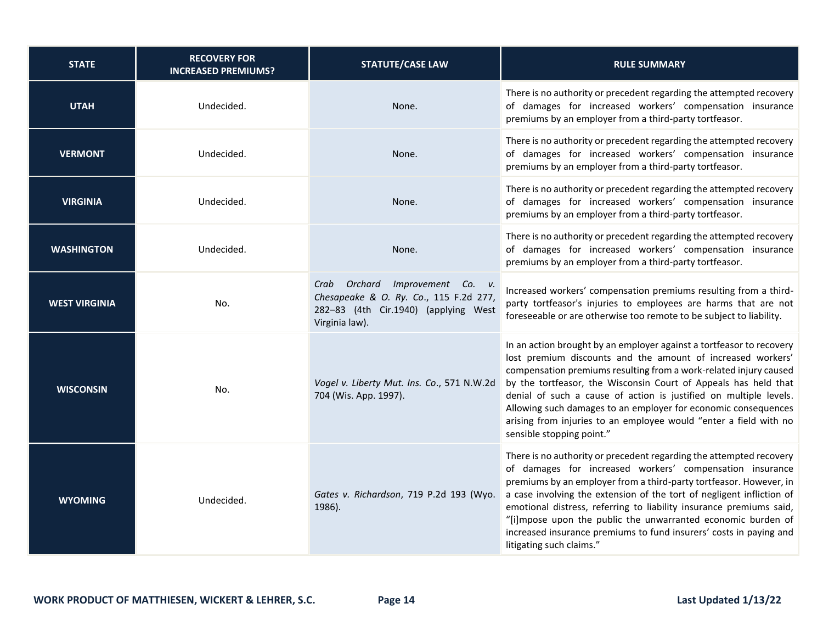| <b>STATE</b>         | <b>RECOVERY FOR</b><br><b>INCREASED PREMIUMS?</b> | <b>STATUTE/CASE LAW</b>                                                                                                             | <b>RULE SUMMARY</b>                                                                                                                                                                                                                                                                                                                                                                                                                                                                                                     |
|----------------------|---------------------------------------------------|-------------------------------------------------------------------------------------------------------------------------------------|-------------------------------------------------------------------------------------------------------------------------------------------------------------------------------------------------------------------------------------------------------------------------------------------------------------------------------------------------------------------------------------------------------------------------------------------------------------------------------------------------------------------------|
| <b>UTAH</b>          | Undecided.                                        | None.                                                                                                                               | There is no authority or precedent regarding the attempted recovery<br>of damages for increased workers' compensation insurance<br>premiums by an employer from a third-party tortfeasor.                                                                                                                                                                                                                                                                                                                               |
| <b>VERMONT</b>       | Undecided.                                        | None.                                                                                                                               | There is no authority or precedent regarding the attempted recovery<br>of damages for increased workers' compensation insurance<br>premiums by an employer from a third-party tortfeasor.                                                                                                                                                                                                                                                                                                                               |
| <b>VIRGINIA</b>      | Undecided.                                        | None.                                                                                                                               | There is no authority or precedent regarding the attempted recovery<br>of damages for increased workers' compensation insurance<br>premiums by an employer from a third-party tortfeasor.                                                                                                                                                                                                                                                                                                                               |
| <b>WASHINGTON</b>    | Undecided.                                        | None.                                                                                                                               | There is no authority or precedent regarding the attempted recovery<br>of damages for increased workers' compensation insurance<br>premiums by an employer from a third-party tortfeasor.                                                                                                                                                                                                                                                                                                                               |
| <b>WEST VIRGINIA</b> | No.                                               | Crab Orchard Improvement Co. v.<br>Chesapeake & O. Ry. Co., 115 F.2d 277,<br>282-83 (4th Cir.1940) (applying West<br>Virginia law). | Increased workers' compensation premiums resulting from a third-<br>party tortfeasor's injuries to employees are harms that are not<br>foreseeable or are otherwise too remote to be subject to liability.                                                                                                                                                                                                                                                                                                              |
| <b>WISCONSIN</b>     | No.                                               | Vogel v. Liberty Mut. Ins. Co., 571 N.W.2d<br>704 (Wis. App. 1997).                                                                 | In an action brought by an employer against a tortfeasor to recovery<br>lost premium discounts and the amount of increased workers'<br>compensation premiums resulting from a work-related injury caused<br>by the tortfeasor, the Wisconsin Court of Appeals has held that<br>denial of such a cause of action is justified on multiple levels.<br>Allowing such damages to an employer for economic consequences<br>arising from injuries to an employee would "enter a field with no<br>sensible stopping point."    |
| <b>WYOMING</b>       | Undecided.                                        | Gates v. Richardson, 719 P.2d 193 (Wyo.<br>1986).                                                                                   | There is no authority or precedent regarding the attempted recovery<br>of damages for increased workers' compensation insurance<br>premiums by an employer from a third-party tortfeasor. However, in<br>a case involving the extension of the tort of negligent infliction of<br>emotional distress, referring to liability insurance premiums said,<br>"[i]mpose upon the public the unwarranted economic burden of<br>increased insurance premiums to fund insurers' costs in paying and<br>litigating such claims." |